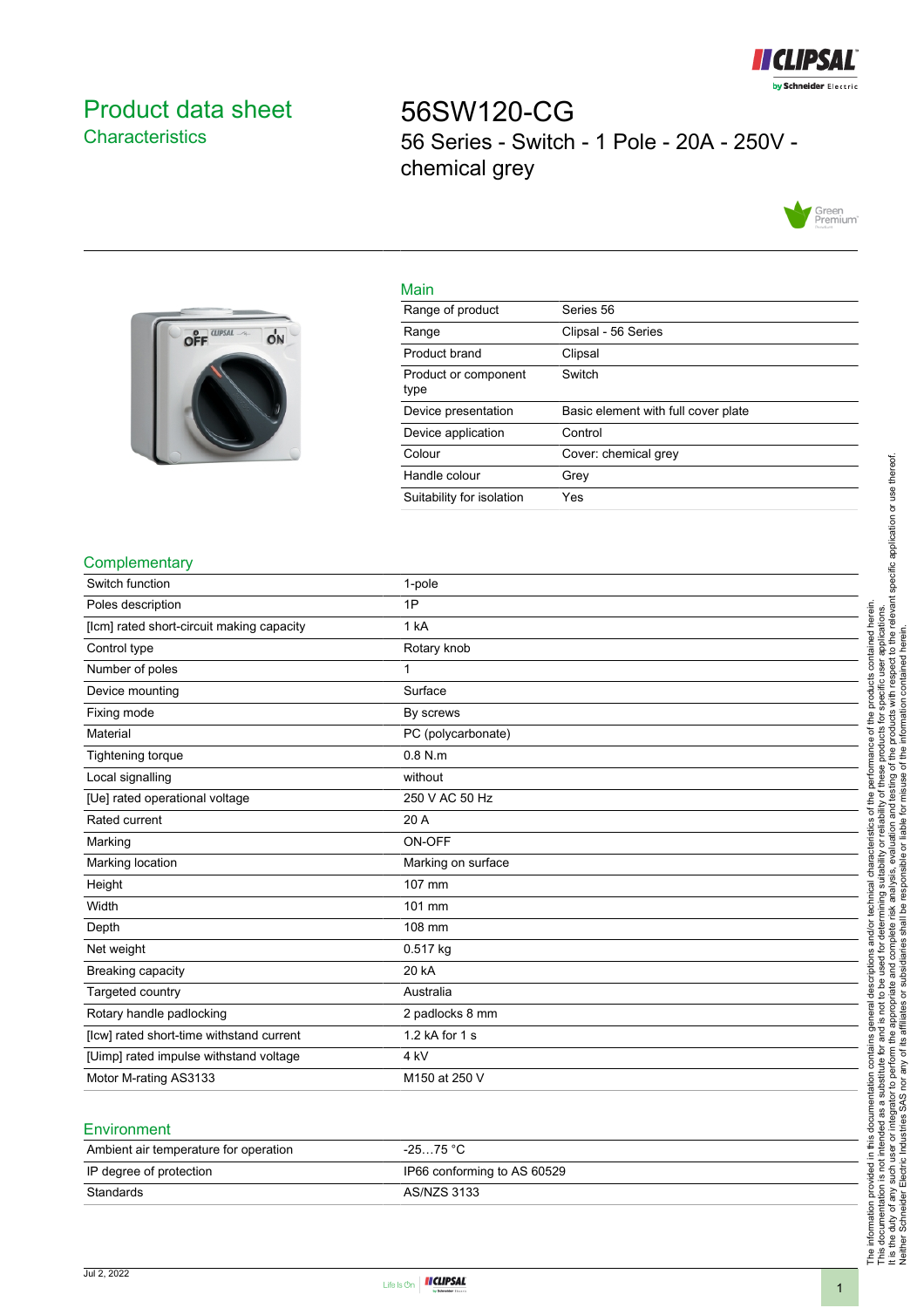

# <span id="page-0-0"></span>Product data sheet **Characteristics**

56SW120-CG 56 Series - Switch - 1 Pole - 20A - 250V chemical grey





| × | ۹ |  |
|---|---|--|
|   |   |  |

| Series 56                           |
|-------------------------------------|
| Clipsal - 56 Series                 |
| Clipsal                             |
| Switch                              |
| Basic element with full cover plate |
| Control                             |
| Cover: chemical grey                |
| Grev                                |
| Yes                                 |
|                                     |

## **Complementary**

| Switch function                           | 1-pole             |
|-------------------------------------------|--------------------|
| Poles description                         | 1P                 |
| [lcm] rated short-circuit making capacity | 1 kA               |
| Control type                              | Rotary knob        |
| Number of poles                           | 1                  |
| Device mounting                           | Surface            |
| Fixing mode                               | By screws          |
| Material                                  | PC (polycarbonate) |
| Tightening torque                         | $0.8$ N.m          |
| Local signalling                          | without            |
| [Ue] rated operational voltage            | 250 V AC 50 Hz     |
| Rated current                             | 20 A               |
| Marking                                   | ON-OFF             |
| Marking location                          | Marking on surface |
| Height                                    | 107 mm             |
| Width                                     | 101 mm             |
| Depth                                     | 108 mm             |
| Net weight                                | 0.517 kg           |
| Breaking capacity                         | 20 kA              |
| Targeted country                          | Australia          |
| Rotary handle padlocking                  | 2 padlocks 8 mm    |
| [lcw] rated short-time withstand current  | 1.2 kA for 1 s     |
| [Uimp] rated impulse withstand voltage    | 4 kV               |
| Motor M-rating AS3133                     | M150 at 250 V      |
|                                           |                    |

#### **Environment**

| Ambient air temperature for operation | -25…75 °C                   |
|---------------------------------------|-----------------------------|
| IP degree of protection               | IP66 conforming to AS 60529 |
| Standards                             | AS/NZS 3133                 |